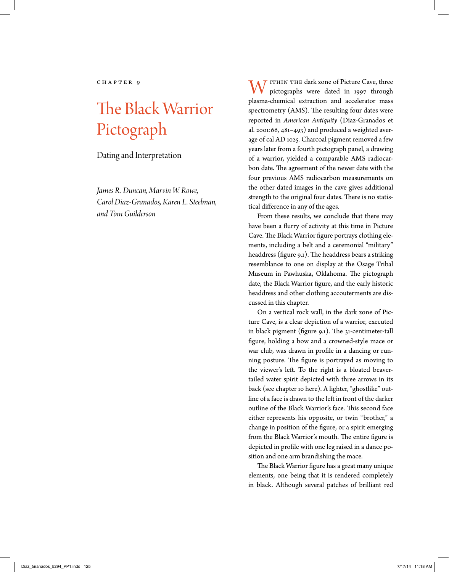# The Black Warrior Pictograph

Dating and Interpretation

*James R. Duncan, Marvin W. Rowe, Carol Diaz-Granados, Karen L. Steelman, and Tom Guilderson*

 $\overline{J}$  ITHIN THE dark zone of Picture Cave, three pictographs were dated in 1997 through plasma-chemical extraction and accelerator mass spectrometry (AMS). The resulting four dates were reported in *American Antiquity* (Diaz-Granados et al. 2001:66, 481–493) and produced a weighted average of cal AD 1025. Charcoal pigment removed a few years later from a fourth pictograph panel, a drawing of a warrior, yielded a comparable AMS radiocarbon date. The agreement of the newer date with the four previous AMS radiocarbon measurements on the other dated images in the cave gives additional strength to the original four dates. There is no statistical difference in any of the ages.

From these results, we conclude that there may have been a flurry of activity at this time in Picture Cave. The Black Warrior figure portrays clothing elements, including a belt and a ceremonial "military" headdress (figure 9.1). The headdress bears a striking resemblance to one on display at the Osage Tribal Museum in Pawhuska, Oklahoma. The pictograph date, the Black Warrior figure, and the early historic headdress and other clothing accouterments are discussed in this chapter.

On a vertical rock wall, in the dark zone of Picture Cave, is a clear depiction of a warrior, executed in black pigment (figure 9.1). The 31-centimeter-tall figure, holding a bow and a crowned-style mace or war club, was drawn in profile in a dancing or running posture. The figure is portrayed as moving to the viewer's left. To the right is a bloated beavertailed water spirit depicted with three arrows in its back (see chapter 10 here). A lighter, "ghostlike" outline of a face is drawn to the left in front of the darker outline of the Black Warrior's face. This second face either represents his opposite, or twin "brother," a change in position of the figure, or a spirit emerging from the Black Warrior's mouth. The entire figure is depicted in profile with one leg raised in a dance position and one arm brandishing the mace.

The Black Warrior figure has a great many unique elements, one being that it is rendered completely in black. Although several patches of brilliant red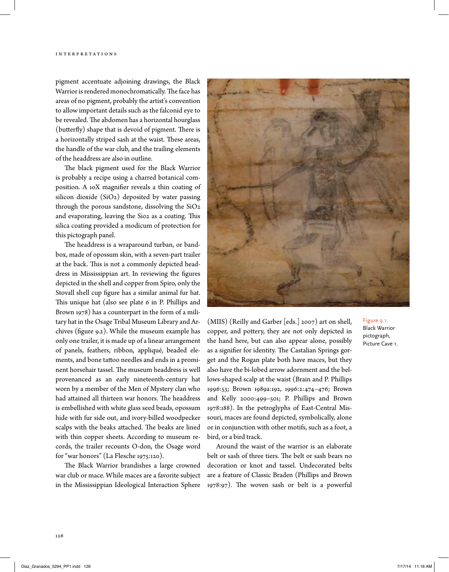pigment accentuate adjoining drawings, the Black Warrior is rendered monochromatically. The face has areas of no pigment, probably the artist's convention to allow important details such as the falconid eye to be revealed. The abdomen has a horizontal hourglass (butterfly) shape that is devoid of pigment. There is a horizontally striped sash at the waist. These areas, the handle of the war club, and the trailing elements of the headdress are also in outline.

The black pigment used for the Black Warrior is probably a recipe using a charred botanical composition. A 10X magnifier reveals a thin coating of silicon dioxide (SiO2) deposited by water passing through the porous sandstone, dissolving the SiO2 and evaporating, leaving the Si02 as a coating. This silica coating provided a modicum of protection for this pictograph panel.

The headdress is a wraparound turban, or bandbox, made of opossum skin, with a seven-part trailer at the back. This is not a commonly depicted headdress in Mississippian art. In reviewing the figures depicted in the shell and copper from Spiro, only the Stovall shell cup figure has a similar animal fur hat. This unique hat (also see plate 6 in P. Phillips and Brown 1978) has a counterpart in the form of a military hat in the Osage Tribal Museum Library and Archives (figure 9.2). While the museum example has only one trailer, it is made up of a linear arrangement of panels, feathers, ribbon, appliqué, beaded elements, and bone tattoo needles and ends in a prominent horsehair tassel. The museum headdress is well provenanced as an early nineteenth-century hat worn by a member of the Men of Mystery clan who had attained all thirteen war honors. The headdress is embellished with white glass seed beads, opossum hide with fur side out, and ivory-billed woodpecker scalps with the beaks attached. The beaks are lined with thin copper sheets. According to museum records, the trailer recounts O-don, the Osage word for "war honors" (La Flesche 1975:120).

The Black Warrior brandishes a large crowned war club or mace. While maces are a favorite subject in the Mississippian Ideological Interaction Sphere



(MIIS) (Reilly and Garber [eds.] 2007) art on shell, copper, and pottery, they are not only depicted in the hand here, but can also appear alone, possibly as a signifier for identity. The Castalian Springs gorget and the Rogan plate both have maces, but they also have the bi-lobed arrow adornment and the bellows-shaped scalp at the waist (Brain and P. Phillips 1996:53; Brown 1989a:192, 1996:2:474–476; Brown and Kelly 2000:499–501; P. Phillips and Brown 1978:188). In the petroglyphs of East-Central Missouri, maces are found depicted, symbolically, alone or in conjunction with other motifs, such as a foot, a bird, or a bird track.

Around the waist of the warrior is an elaborate belt or sash of three tiers. The belt or sash bears no decoration or knot and tassel. Undecorated belts are a feature of Classic Braden (Phillips and Brown 1978:97). The woven sash or belt is a powerful

## Figure 9.1. Black Warrior pictograph, Picture Cave 1.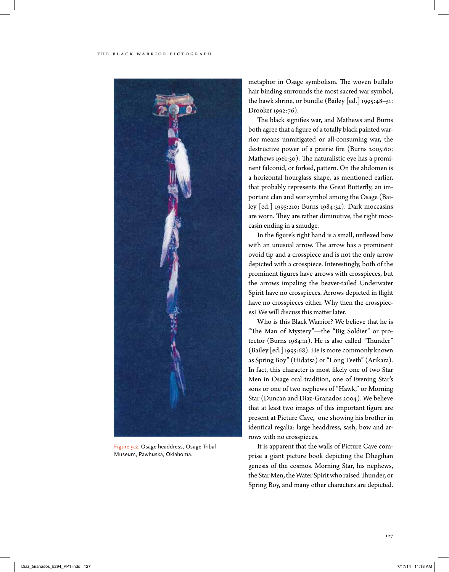#### The Black Warrior Pictograph



Figure 9.2. Osage headdress, Osage Tribal Museum, Pawhuska, Oklahoma.

metaphor in Osage symbolism. The woven buffalo hair binding surrounds the most sacred war symbol, the hawk shrine, or bundle (Bailey [ed.] 1995:48–51; Drooker 1992:76).

The black signifies war, and Mathews and Burns both agree that a figure of a totally black painted warrior means unmitigated or all-consuming war, the destructive power of a prairie fire (Burns 2005:60; Mathews 1961:50). The naturalistic eye has a prominent falconid, or forked, pattern. On the abdomen is a horizontal hourglass shape, as mentioned earlier, that probably represents the Great Butterfly, an important clan and war symbol among the Osage (Bailey [ed.] 1995:210; Burns 1984:32). Dark moccasins are worn. They are rather diminutive, the right moccasin ending in a smudge.

In the figure's right hand is a small, unflexed bow with an unusual arrow. The arrow has a prominent ovoid tip and a crosspiece and is not the only arrow depicted with a crosspiece. Interestingly, both of the prominent figures have arrows with crosspieces, but the arrows impaling the beaver-tailed Underwater Spirit have no crosspieces. Arrows depicted in flight have no crosspieces either. Why then the crosspieces? We will discuss this matter later.

Who is this Black Warrior? We believe that he is "The Man of Mystery"—the "Big Soldier" or protector (Burns 1984:11). He is also called "Thunder" (Bailey [ed.] 1995:68). He is more commonly known as Spring Boy" (Hidatsa) or "Long Teeth" (Arikara). In fact, this character is most likely one of two Star Men in Osage oral tradition, one of Evening Star's sons or one of two nephews of "Hawk," or Morning Star (Duncan and Diaz-Granados 2004). We believe that at least two images of this important figure are present at Picture Cave, one showing his brother in identical regalia: large headdress, sash, bow and arrows with no crosspieces.

It is apparent that the walls of Picture Cave comprise a giant picture book depicting the Dhegihan genesis of the cosmos. Morning Star, his nephews, the Star Men, the Water Spirit who raised Thunder, or Spring Boy, and many other characters are depicted.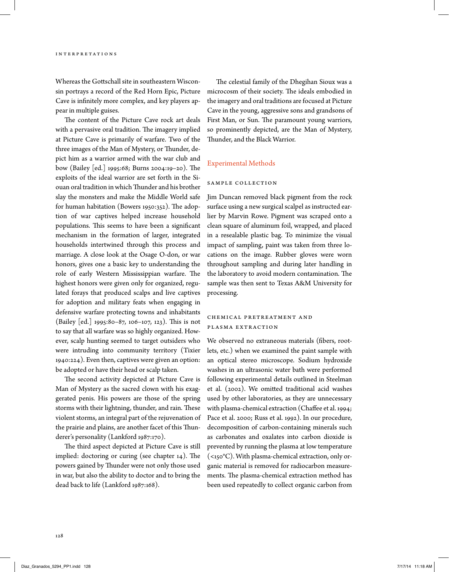Whereas the Gottschall site in southeastern Wisconsin portrays a record of the Red Horn Epic, Picture Cave is infinitely more complex, and key players appear in multiple guises.

The content of the Picture Cave rock art deals with a pervasive oral tradition. The imagery implied at Picture Cave is primarily of warfare. Two of the three images of the Man of Mystery, or Thunder, depict him as a warrior armed with the war club and bow (Bailey [ed.] 1995:68; Burns 2004:19–20). The exploits of the ideal warrior are set forth in the Siouan oral tradition in which Thunder and his brother slay the monsters and make the Middle World safe for human habitation (Bowers 1950:352). The adoption of war captives helped increase household populations. This seems to have been a significant mechanism in the formation of larger, integrated households intertwined through this process and marriage. A close look at the Osage O-don, or war honors, gives one a basic key to understanding the role of early Western Mississippian warfare. The highest honors were given only for organized, regulated forays that produced scalps and live captives for adoption and military feats when engaging in defensive warfare protecting towns and inhabitants (Bailey [ed.] 1995:80–87, 106–107, 123). This is not to say that all warfare was so highly organized. However, scalp hunting seemed to target outsiders who were intruding into community territory (Tixier 1940:224). Even then, captives were given an option: be adopted or have their head or scalp taken.

The second activity depicted at Picture Cave is Man of Mystery as the sacred clown with his exaggerated penis. His powers are those of the spring storms with their lightning, thunder, and rain. These violent storms, an integral part of the rejuvenation of the prairie and plains, are another facet of this Thunderer's personality (Lankford 1987:170).

The third aspect depicted at Picture Cave is still implied: doctoring or curing (see chapter 14). The powers gained by Thunder were not only those used in war, but also the ability to doctor and to bring the dead back to life (Lankford 1987:168).

The celestial family of the Dhegihan Sioux was a microcosm of their society. The ideals embodied in the imagery and oral traditions are focused at Picture Cave in the young, aggressive sons and grandsons of First Man, or Sun. The paramount young warriors, so prominently depicted, are the Man of Mystery, Thunder, and the Black Warrior.

## Experimental Methods

#### Sample Collection

Jim Duncan removed black pigment from the rock surface using a new surgical scalpel as instructed earlier by Marvin Rowe. Pigment was scraped onto a clean square of aluminum foil, wrapped, and placed in a resealable plastic bag. To minimize the visual impact of sampling, paint was taken from three locations on the image. Rubber gloves were worn throughout sampling and during later handling in the laboratory to avoid modern contamination. The sample was then sent to Texas A&M University for processing.

# CH E M I CAL PRETREATMENT AND Plasma Extraction

We observed no extraneous materials (fibers, rootlets, etc.) when we examined the paint sample with an optical stereo microscope. Sodium hydroxide washes in an ultrasonic water bath were performed following experimental details outlined in Steelman et al. (2002). We omitted traditional acid washes used by other laboratories, as they are unnecessary with plasma-chemical extraction (Chaffee et al. 1994; Pace et al. 2000; Russ et al. 1992). In our procedure, decomposition of carbon-containing minerals such as carbonates and oxalates into carbon dioxide is prevented by running the plasma at low temperature  $(<sub>150</sub>°C)$ . With plasma-chemical extraction, only organic material is removed for radiocarbon measurements. The plasma-chemical extraction method has been used repeatedly to collect organic carbon from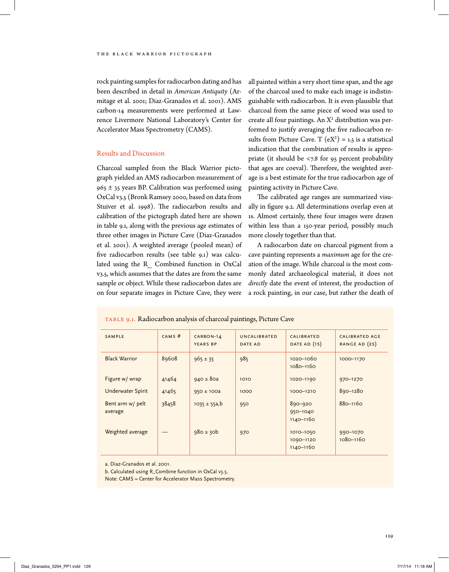rock painting samples for radiocarbon dating and has been described in detail in *American Antiquity* (Armitage et al. 2001; Diaz-Granados et al. 2001). AMS carbon-14 measurements were performed at Lawrence Livermore National Laboratory's Center for Accelerator Mass Spectrometry (CAMS).

## Results and Discussion

Charcoal sampled from the Black Warrior pictograph yielded an AMS radiocarbon measurement of  $965 \pm 35$  years BP. Calibration was performed using OxCal v3.5 (Bronk Ramsey 2000, based on data from Stuiver et al. 1998). The radiocarbon results and calibration of the pictograph dated here are shown in table 9.1, along with the previous age estimates of three other images in Picture Cave (Diaz-Granados et al. 2001). A weighted average (pooled mean) of five radiocarbon results (see table 9.1) was calculated using the R\_ Combined function in OxCal v3.5, which assumes that the dates are from the same sample or object. While these radiocarbon dates are on four separate images in Picture Cave, they were

Table 9.1. Radiocarbon analysis of charcoal paintings, Picture Cave

all painted within a very short time span, and the age of the charcoal used to make each image is indistinguishable with radiocarbon. It is even plausible that charcoal from the same piece of wood was used to create all four paintings. An  $X^2$  distribution was performed to justify averaging the five radiocarbon results from Picture Cave. T  $(eX^2) = 1.5$  is a statistical indication that the combination of results is appropriate (it should be <7.8 for 95 percent probability that ages are coeval). Therefore, the weighted average is a best estimate for the true radiocarbon age of painting activity in Picture Cave.

The calibrated age ranges are summarized visually in figure 9.2. All determinations overlap even at 1s. Almost certainly, these four images were drawn within less than a 150-year period, possibly much more closely together than that.

A radiocarbon date on charcoal pigment from a cave painting represents a *maximum* age for the creation of the image. While charcoal is the most commonly dated archaeological material, it does not *directly* date the event of interest, the production of a rock painting, in our case, but rather the death of

| SAMPLE                      | CAMS# | CARBON-14<br><b>YEARS BP</b> | UNCALIBRATED<br><b>DATE AD</b> | <b>CALIBRATED</b><br>DATE AD (1S)       | <b>CALIBRATED AGE</b><br>RANGE AD (2S) |
|-----------------------------|-------|------------------------------|--------------------------------|-----------------------------------------|----------------------------------------|
| <b>Black Warrior</b>        | 89608 | $965 \pm 35$                 | 985                            | 1020-1060<br>1080-1160                  | 1000-1170                              |
| Figure w/ wrap              | 41464 | $940 \pm 80a$                | 1010                           | 1020-1190                               | 970-1270                               |
| <b>Underwater Spirit</b>    | 41465 | $950 \pm 100a$               | 1000                           | 1000-1210                               | 890-1280                               |
| Bent arm w/ pelt<br>average | 38458 | $1035 \pm 55a, b$            | 950                            | 890-920<br>950-1040<br>$1140 - 1160$    | $880 - 1160$                           |
| Weighted average            |       | $980 \pm 30b$                | 970                            | 1010-1050<br>1090-1120<br>$1140 - 1160$ | 990-1070<br>1080-1160                  |

a. Diaz-Granados et al. 2001.

b. Calculated using R\_Combine function in OxCal v3.5.

Note: CAMS = Center for Accelerator Mass Spectrometry.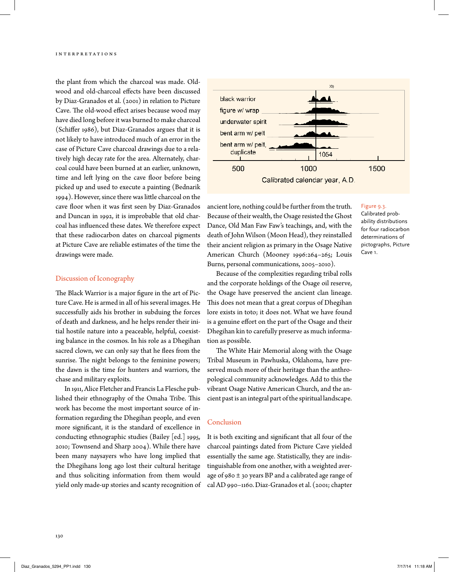the plant from which the charcoal was made. Oldwood and old-charcoal effects have been discussed by Diaz-Granados et al. (2001) in relation to Picture Cave. The old-wood effect arises because wood may have died long before it was burned to make charcoal (Schiffer 1986), but Diaz-Granados argues that it is not likely to have introduced much of an error in the case of Picture Cave charcoal drawings due to a relatively high decay rate for the area. Alternately, charcoal could have been burned at an earlier, unknown, time and left lying on the cave floor before being picked up and used to execute a painting (Bednarik 1994). However, since there was little charcoal on the cave floor when it was first seen by Diaz-Granados and Duncan in 1992, it is improbable that old charcoal has influenced these dates. We therefore expect that these radiocarbon dates on charcoal pigments at Picture Cave are reliable estimates of the time the drawings were made.

### Discussion of Iconography

The Black Warrior is a major figure in the art of Picture Cave. He is armed in all of his several images. He successfully aids his brother in subduing the forces of death and darkness, and he helps render their initial hostile nature into a peaceable, helpful, coexisting balance in the cosmos. In his role as a Dhegihan sacred clown, we can only say that he flees from the sunrise. The night belongs to the feminine powers; the dawn is the time for hunters and warriors, the chase and military exploits.

In 1911, Alice Fletcher and Francis La Flesche published their ethnography of the Omaha Tribe. This work has become the most important source of information regarding the Dhegihan people, and even more significant, it is the standard of excellence in conducting ethnographic studies (Bailey [ed.] 1995, 2010; Townsend and Sharp 2004). While there have been many naysayers who have long implied that the Dhegihans long ago lost their cultural heritage and thus soliciting information from them would yield only made-up stories and scanty recognition of



Figure 9.3.

ancient lore, nothing could be further from the truth. Because of their wealth, the Osage resisted the Ghost Dance, Old Man Faw Faw's teachings, and, with the death of John Wilson (Moon Head), they reinstalled their ancient religion as primary in the Osage Native American Church (Mooney 1996:264–265; Louis Burns, personal communications, 2005–2010).

# Calibrated probability distributions for four radiocarbon determinations of pictographs, Picture Cave 1.

Because of the complexities regarding tribal rolls and the corporate holdings of the Osage oil reserve, the Osage have preserved the ancient clan lineage. This does not mean that a great corpus of Dhegihan lore exists in toto; it does not. What we have found is a genuine effort on the part of the Osage and their Dhegihan kin to carefully preserve as much information as possible.

The White Hair Memorial along with the Osage Tribal Museum in Pawhuska, Oklahoma, have preserved much more of their heritage than the anthropological community acknowledges. Add to this the vibrant Osage Native American Church, and the ancient past is an integral part of the spiritual landscape.

# Conclusion

It is both exciting and significant that all four of the charcoal paintings dated from Picture Cave yielded essentially the same age. Statistically, they are indistinguishable from one another, with a weighted average of 980 ± 30 years BP and a calibrated age range of cal AD 990–1160. Diaz-Granados et al. (2001; chapter